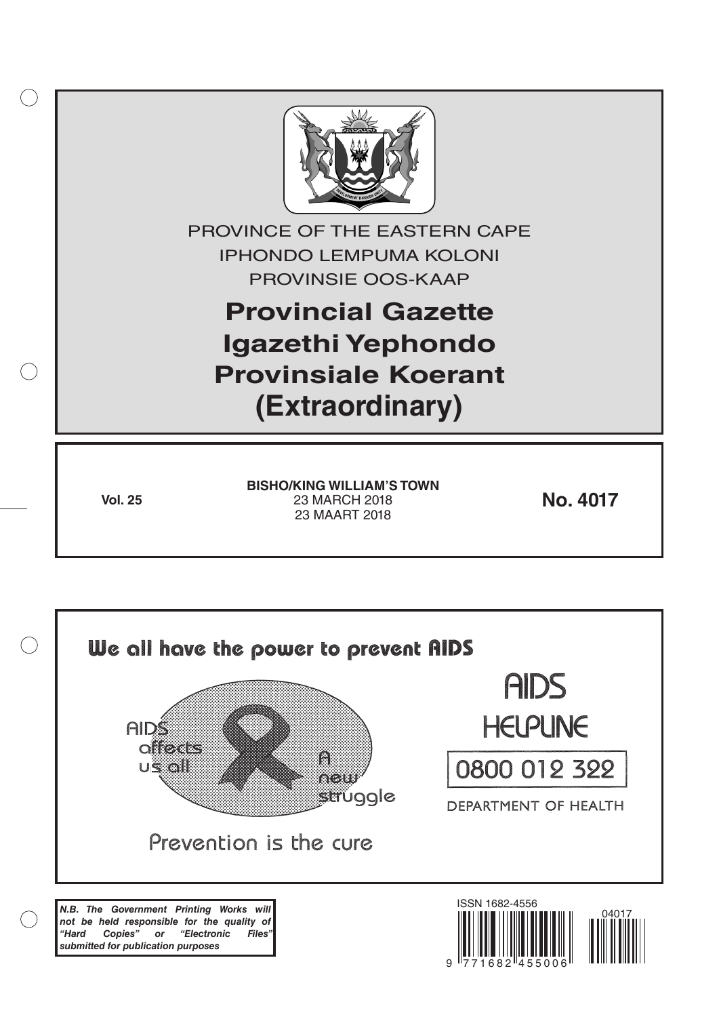

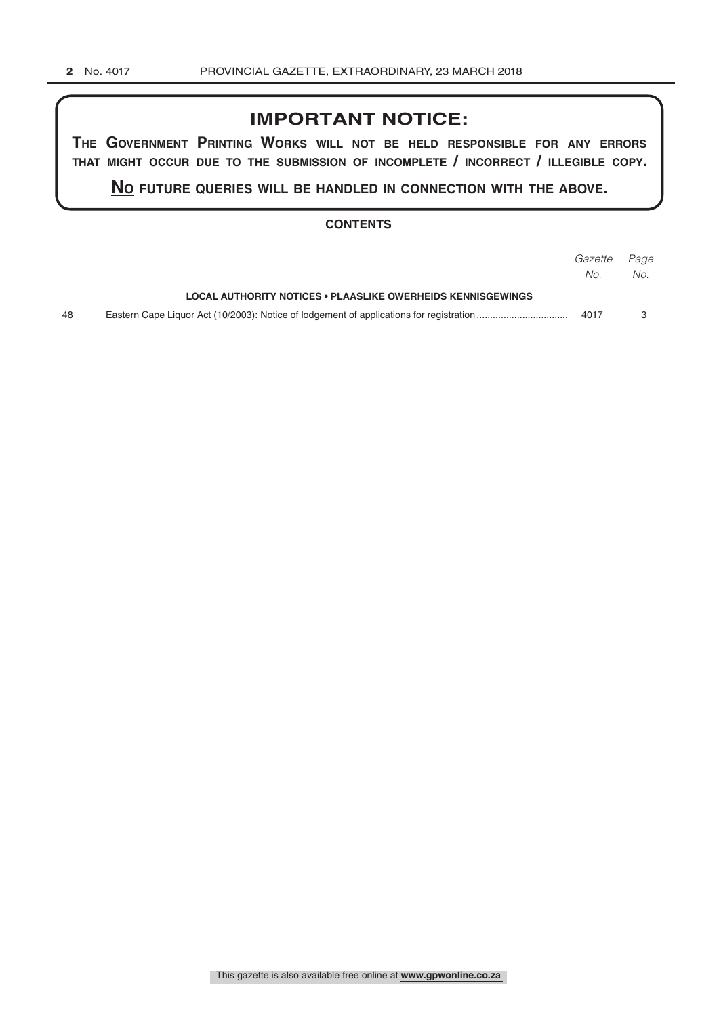# **IMPORTANT NOTICE:**

**The GovernmenT PrinTinG Works Will noT be held resPonsible for any errors ThaT miGhT occur due To The submission of incomPleTe / incorrecT / illeGible coPy.**

**no fuTure queries Will be handled in connecTion WiTh The above.**

### **CONTENTS**

|    |                                                             | Gazette Page |     |
|----|-------------------------------------------------------------|--------------|-----|
|    |                                                             | No.          | No. |
|    | LOCAL AUTHORITY NOTICES • PLAASLIKE OWERHEIDS KENNISGEWINGS |              |     |
| 48 |                                                             | 4017         |     |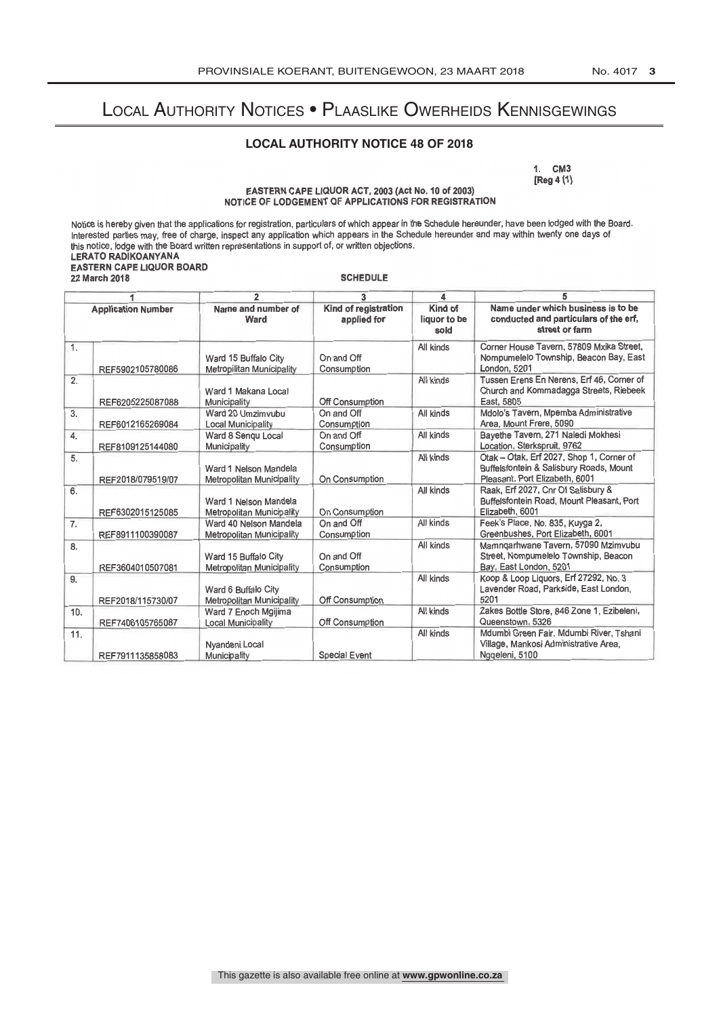## Local Authority Notices • Plaaslike Owerheids Kennisgewings

## **LOCAL AUTHORITY NOTICE 48 OF 2018**

1.  $\cup W$  $k = 1$ 

#### EASTERN CAPE LIQUOR ACT, 2003 (Act No. 10 of 2003) NOTICE OF LODGEMENT OF APPLICATIONS FOR REGISTRATION

Notice is hereby given that the applications for registration, particulars of which appear in the Schedule hereunder, have been lodged with the Board.<br>Interested parties may, free of charge, inspect any application which a Interested parties may, free of charge, inspect any application which appears in the Schedule hereunder and may within twenty one days of this notice, lodge with the Board written representations in support of, or written objections. LERATO RADIKOANYANA

#### EASTERN CAPE LIQUOR BOARD 22 March 2018

SCHEDULE

| 1                         |                   | $\overline{2}$                                             | 3                                   | 4                               | 5                                                                                                                     |  |
|---------------------------|-------------------|------------------------------------------------------------|-------------------------------------|---------------------------------|-----------------------------------------------------------------------------------------------------------------------|--|
| <b>Application Number</b> |                   | Name and number of<br>Ward                                 | Kind of registration<br>applied for | Kind of<br>liquor to be<br>sold | Name under which business is to be<br>conducted and particulars of the erf,<br>street or farm                         |  |
| 1.                        | REF5902105780086  | Ward 15 Buffalo City<br>Metropilitan Municipality          | On and Off<br>Consumption           | All kinds                       | Corner House Tavern, 57809 Mxika Street,<br>Nompumelelo Township, Beacon Bay, East<br>London, 5201                    |  |
| 2.                        | REF6205225087088  | Ward 1 Makana Local<br>Municipality                        | Off Consumption                     | All kinds                       | Tussen Erens En Nerens, Erf 46, Corner of<br>Church and Kommadagga Streets, Riebeek<br>East, 5805                     |  |
| 3.                        | REF6012165269084  | Ward 20 Umzimvubu<br><b>Local Municipality</b>             | On and Off<br>Consumption           | All kinds                       | Mdolo's Tavern, Mpemba Administrative<br>Area, Mount Frere, 5090                                                      |  |
| 4.                        | REF8109125144080  | Ward 8 Sengu Local<br>Municipality                         | On and Off<br>Consumption           | All kinds                       | Bavethe Tavern, 271 Naledi Mokhesi<br>Location, Sterkspruit, 9762                                                     |  |
| 5.                        | REF2018/079519/07 | Ward 1 Nelson Mandela<br><b>Metropolitan Municipality</b>  | On Consumption                      | All kinds                       | Otak - Otak, Erf 2027, Shop 1, Corner of<br>Buffelsfontein & Salisbury Roads, Mount<br>Pleasant. Port Elizabeth, 6001 |  |
| 6.                        | REF6302015125085  | Ward 1 Nelson Mandela<br><b>Metropolitan Municipality</b>  | On Consumption                      | All kinds                       | Raak, Erf 2027, Cnr Of Salisbury &<br>Buffelsfontein Road, Mount Pleasant, Port<br>Elizabeth, 6001                    |  |
| 7.                        | REF8911100390087  | Ward 40 Nelson Mandela<br><b>Metropolitan Municipality</b> | On and Off<br>Consumption           | All kinds                       | Feek's Place, No. 835, Kuyga 2,<br>Greenbushes, Port Elizabeth, 6001                                                  |  |
| 8.                        | REF3604010507081  | Ward 15 Buffalo City<br>Metropolitan Municipality          | On and Off<br>Consumption           | All kinds                       | Mamngarhwane Tavern, 57090 Mzimvubu<br>Street, Nompumelelo Township, Beacon<br>Bay, East London, 5201                 |  |
| 9.                        | REF2018/115730/07 | Ward 6 Buffalo City<br><b>Metropolitan Municipality</b>    | Off Consumption                     | All kinds                       | Koop & Loop Liquors, Erf 27292, No. 3<br>Lavender Road, Parkside, East London,<br>5201                                |  |
| 10.                       | REF7406105765087  | Ward 7 Enoch Mgijima<br><b>Local Municipality</b>          | Off Consumption                     | All kinds                       | Zakes Bottle Store, 846 Zone 1, Ezibeleni,<br>Queenstown, 5326                                                        |  |
| 11.                       | REF7911135858083  | Nyandeni Local<br>Municipality                             | <b>Special Event</b>                | All kinds                       | Mdumbi Green Fair, Mdumbi River, Tshani<br>Village, Mankosi Administrative Area,<br>Nggeleni, 5100                    |  |